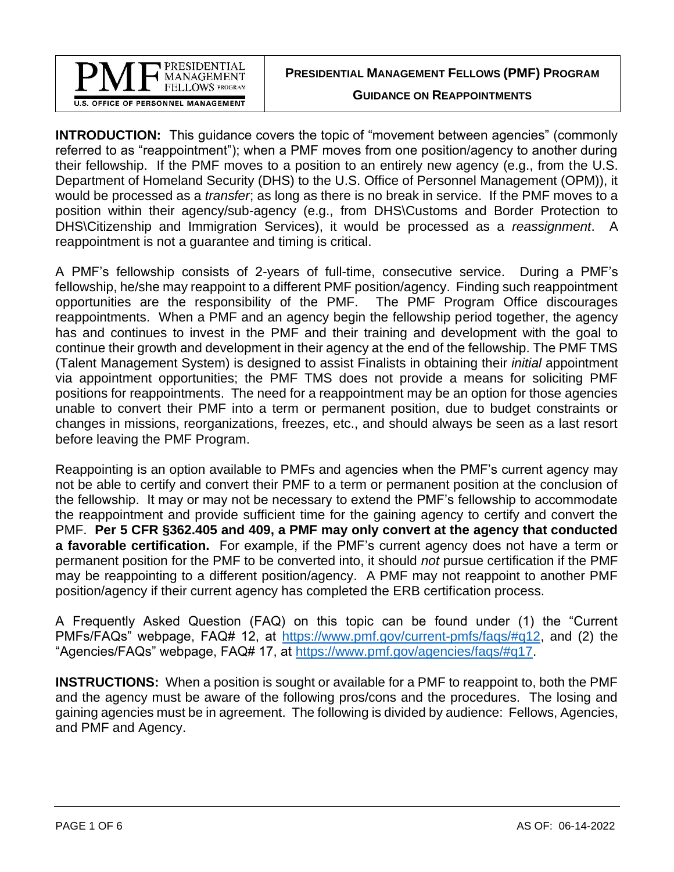

**PRESIDENTIAL MANAGEMENT FELLOWS (PMF) PROGRAM**

**GUIDANCE ON REAPPOINTMENTS**

**INTRODUCTION:** This guidance covers the topic of "movement between agencies" (commonly referred to as "reappointment"); when a PMF moves from one position/agency to another during their fellowship. If the PMF moves to a position to an entirely new agency (e.g., from the U.S. Department of Homeland Security (DHS) to the U.S. Office of Personnel Management (OPM)), it would be processed as a *transfer*; as long as there is no break in service. If the PMF moves to a position within their agency/sub-agency (e.g., from DHS\Customs and Border Protection to DHS\Citizenship and Immigration Services), it would be processed as a *reassignment*. A reappointment is not a guarantee and timing is critical.

A PMF's fellowship consists of 2-years of full-time, consecutive service. During a PMF's fellowship, he/she may reappoint to a different PMF position/agency. Finding such reappointment opportunities are the responsibility of the PMF. The PMF Program Office discourages reappointments. When a PMF and an agency begin the fellowship period together, the agency has and continues to invest in the PMF and their training and development with the goal to continue their growth and development in their agency at the end of the fellowship. The PMF TMS (Talent Management System) is designed to assist Finalists in obtaining their *initial* appointment via appointment opportunities; the PMF TMS does not provide a means for soliciting PMF positions for reappointments. The need for a reappointment may be an option for those agencies unable to convert their PMF into a term or permanent position, due to budget constraints or changes in missions, reorganizations, freezes, etc., and should always be seen as a last resort before leaving the PMF Program.

Reappointing is an option available to PMFs and agencies when the PMF's current agency may not be able to certify and convert their PMF to a term or permanent position at the conclusion of the fellowship. It may or may not be necessary to extend the PMF's fellowship to accommodate the reappointment and provide sufficient time for the gaining agency to certify and convert the PMF. **Per 5 CFR §362.405 and 409, a PMF may only convert at the agency that conducted a favorable certification.** For example, if the PMF's current agency does not have a term or permanent position for the PMF to be converted into, it should *not* pursue certification if the PMF may be reappointing to a different position/agency. A PMF may not reappoint to another PMF position/agency if their current agency has completed the ERB certification process.

A Frequently Asked Question (FAQ) on this topic can be found under (1) the "Current PMFs/FAQs" webpage, FAQ# 12, at [https://www.pmf.gov/current-pmfs/faqs/#q12,](https://www.pmf.gov/current-pmfs/faqs/#q12) and (2) the "Agencies/FAQs" webpage, FAQ# 17, at [https://www.pmf.gov/agencies/faqs/#q17.](https://www.pmf.gov/agencies/faqs/#q17)

**INSTRUCTIONS:** When a position is sought or available for a PMF to reappoint to, both the PMF and the agency must be aware of the following pros/cons and the procedures. The losing and gaining agencies must be in agreement. The following is divided by audience: Fellows, Agencies, and PMF and Agency.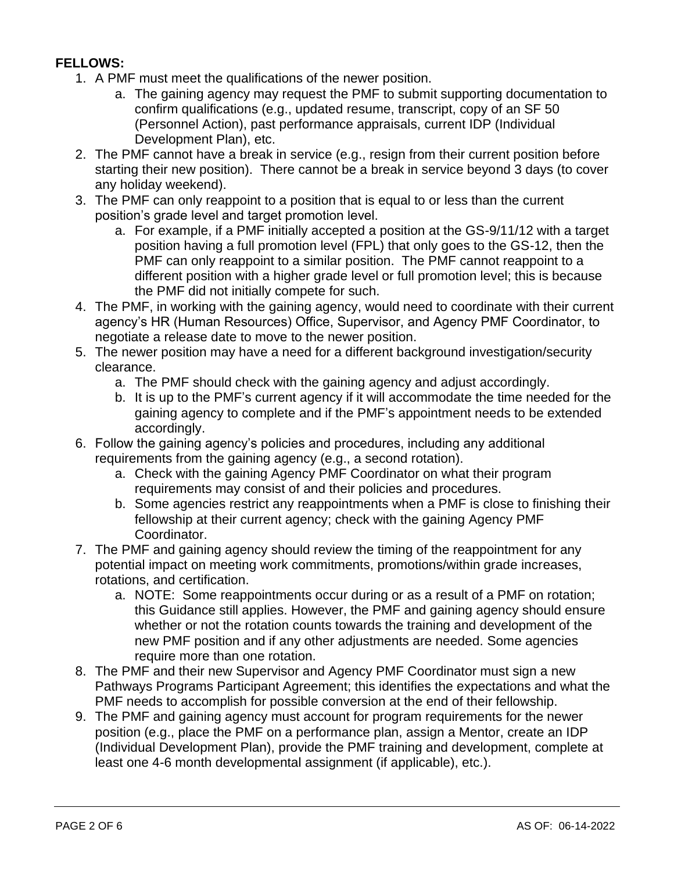## **FELLOWS:**

- 1. A PMF must meet the qualifications of the newer position.
	- a. The gaining agency may request the PMF to submit supporting documentation to confirm qualifications (e.g., updated resume, transcript, copy of an SF 50 (Personnel Action), past performance appraisals, current IDP (Individual Development Plan), etc.
- 2. The PMF cannot have a break in service (e.g., resign from their current position before starting their new position). There cannot be a break in service beyond 3 days (to cover any holiday weekend).
- 3. The PMF can only reappoint to a position that is equal to or less than the current position's grade level and target promotion level.
	- a. For example, if a PMF initially accepted a position at the GS-9/11/12 with a target position having a full promotion level (FPL) that only goes to the GS-12, then the PMF can only reappoint to a similar position. The PMF cannot reappoint to a different position with a higher grade level or full promotion level; this is because the PMF did not initially compete for such.
- 4. The PMF, in working with the gaining agency, would need to coordinate with their current agency's HR (Human Resources) Office, Supervisor, and Agency PMF Coordinator, to negotiate a release date to move to the newer position.
- 5. The newer position may have a need for a different background investigation/security clearance.
	- a. The PMF should check with the gaining agency and adjust accordingly.
	- b. It is up to the PMF's current agency if it will accommodate the time needed for the gaining agency to complete and if the PMF's appointment needs to be extended accordingly.
- 6. Follow the gaining agency's policies and procedures, including any additional requirements from the gaining agency (e.g., a second rotation).
	- a. Check with the gaining Agency PMF Coordinator on what their program requirements may consist of and their policies and procedures.
	- b. Some agencies restrict any reappointments when a PMF is close to finishing their fellowship at their current agency; check with the gaining Agency PMF Coordinator.
- 7. The PMF and gaining agency should review the timing of the reappointment for any potential impact on meeting work commitments, promotions/within grade increases, rotations, and certification.
	- a. NOTE: Some reappointments occur during or as a result of a PMF on rotation; this Guidance still applies. However, the PMF and gaining agency should ensure whether or not the rotation counts towards the training and development of the new PMF position and if any other adjustments are needed. Some agencies require more than one rotation.
- 8. The PMF and their new Supervisor and Agency PMF Coordinator must sign a new Pathways Programs Participant Agreement; this identifies the expectations and what the PMF needs to accomplish for possible conversion at the end of their fellowship.
- 9. The PMF and gaining agency must account for program requirements for the newer position (e.g., place the PMF on a performance plan, assign a Mentor, create an IDP (Individual Development Plan), provide the PMF training and development, complete at least one 4-6 month developmental assignment (if applicable), etc.).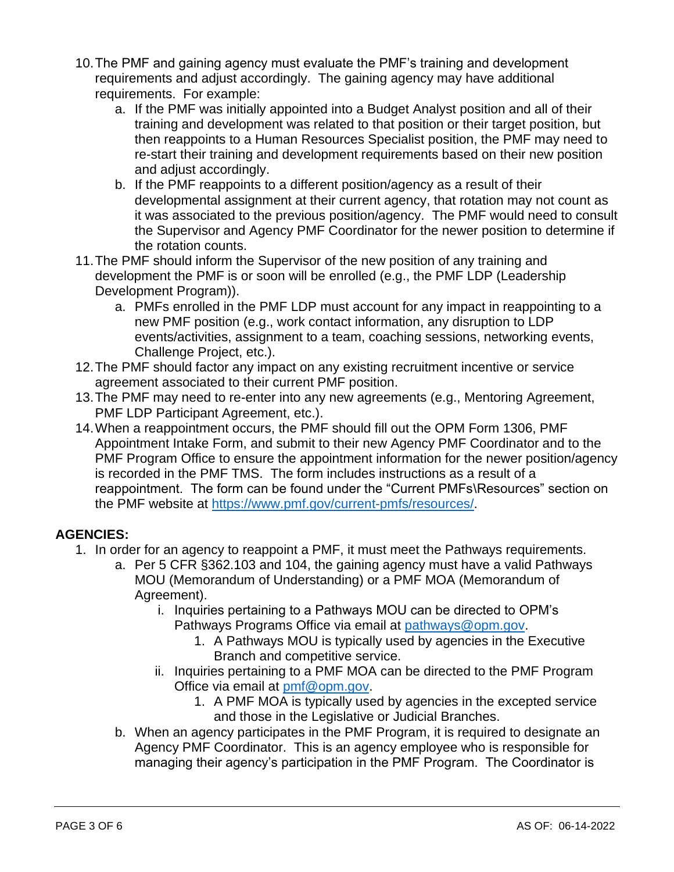- 10.The PMF and gaining agency must evaluate the PMF's training and development requirements and adjust accordingly. The gaining agency may have additional requirements. For example:
	- a. If the PMF was initially appointed into a Budget Analyst position and all of their training and development was related to that position or their target position, but then reappoints to a Human Resources Specialist position, the PMF may need to re-start their training and development requirements based on their new position and adjust accordingly.
	- b. If the PMF reappoints to a different position/agency as a result of their developmental assignment at their current agency, that rotation may not count as it was associated to the previous position/agency. The PMF would need to consult the Supervisor and Agency PMF Coordinator for the newer position to determine if the rotation counts.
- 11.The PMF should inform the Supervisor of the new position of any training and development the PMF is or soon will be enrolled (e.g., the PMF LDP (Leadership Development Program)).
	- a. PMFs enrolled in the PMF LDP must account for any impact in reappointing to a new PMF position (e.g., work contact information, any disruption to LDP events/activities, assignment to a team, coaching sessions, networking events, Challenge Project, etc.).
- 12.The PMF should factor any impact on any existing recruitment incentive or service agreement associated to their current PMF position.
- 13.The PMF may need to re-enter into any new agreements (e.g., Mentoring Agreement, PMF LDP Participant Agreement, etc.).
- 14.When a reappointment occurs, the PMF should fill out the OPM Form 1306, PMF Appointment Intake Form, and submit to their new Agency PMF Coordinator and to the PMF Program Office to ensure the appointment information for the newer position/agency is recorded in the PMF TMS. The form includes instructions as a result of a reappointment. The form can be found under the "Current PMFs\Resources" section on the PMF website at [https://www.pmf.gov/current-pmfs/resources/.](https://www.pmf.gov/current-pmfs/resources/)

## **AGENCIES:**

- 1. In order for an agency to reappoint a PMF, it must meet the Pathways requirements.
	- a. Per 5 CFR §362.103 and 104, the gaining agency must have a valid Pathways MOU (Memorandum of Understanding) or a PMF MOA (Memorandum of Agreement).
		- i. Inquiries pertaining to a Pathways MOU can be directed to OPM's Pathways Programs Office via email at [pathways@opm.gov.](mailto:pathways@opm.gov)
			- 1. A Pathways MOU is typically used by agencies in the Executive Branch and competitive service.
		- ii. Inquiries pertaining to a PMF MOA can be directed to the PMF Program Office via email at [pmf@opm.gov.](mailto:pmf@opm.gov)
			- 1. A PMF MOA is typically used by agencies in the excepted service and those in the Legislative or Judicial Branches.
	- b. When an agency participates in the PMF Program, it is required to designate an Agency PMF Coordinator. This is an agency employee who is responsible for managing their agency's participation in the PMF Program. The Coordinator is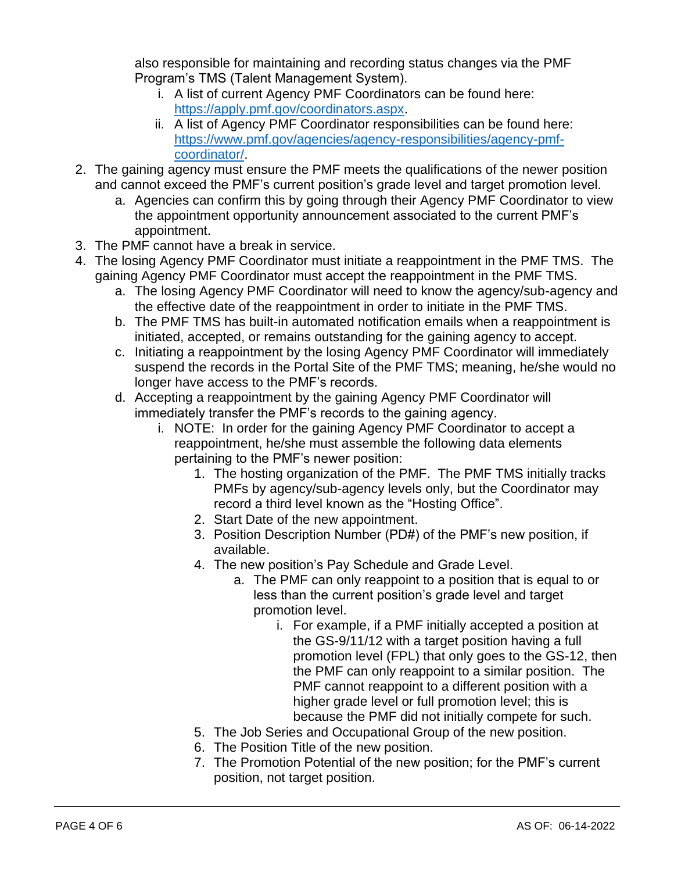also responsible for maintaining and recording status changes via the PMF Program's TMS (Talent Management System).

- i. A list of current Agency PMF Coordinators can be found here: [https://apply.pmf.gov/coordinators.aspx.](https://apply.pmf.gov/coordinators.aspx)
- ii. A list of Agency PMF Coordinator responsibilities can be found here: [https://www.pmf.gov/agencies/agency-responsibilities/agency-pmf](https://www.pmf.gov/agencies/agency-responsibilities/agency-pmf-coordinator/)[coordinator/.](https://www.pmf.gov/agencies/agency-responsibilities/agency-pmf-coordinator/)
- 2. The gaining agency must ensure the PMF meets the qualifications of the newer position and cannot exceed the PMF's current position's grade level and target promotion level.
	- a. Agencies can confirm this by going through their Agency PMF Coordinator to view the appointment opportunity announcement associated to the current PMF's appointment.
- 3. The PMF cannot have a break in service.
- 4. The losing Agency PMF Coordinator must initiate a reappointment in the PMF TMS. The gaining Agency PMF Coordinator must accept the reappointment in the PMF TMS.
	- a. The losing Agency PMF Coordinator will need to know the agency/sub-agency and the effective date of the reappointment in order to initiate in the PMF TMS.
	- b. The PMF TMS has built-in automated notification emails when a reappointment is initiated, accepted, or remains outstanding for the gaining agency to accept.
	- c. Initiating a reappointment by the losing Agency PMF Coordinator will immediately suspend the records in the Portal Site of the PMF TMS; meaning, he/she would no longer have access to the PMF's records.
	- d. Accepting a reappointment by the gaining Agency PMF Coordinator will immediately transfer the PMF's records to the gaining agency.
		- i. NOTE: In order for the gaining Agency PMF Coordinator to accept a reappointment, he/she must assemble the following data elements pertaining to the PMF's newer position:
			- 1. The hosting organization of the PMF. The PMF TMS initially tracks PMFs by agency/sub-agency levels only, but the Coordinator may record a third level known as the "Hosting Office".
			- 2. Start Date of the new appointment.
			- 3. Position Description Number (PD#) of the PMF's new position, if available.
			- 4. The new position's Pay Schedule and Grade Level.
				- a. The PMF can only reappoint to a position that is equal to or less than the current position's grade level and target promotion level.
					- i. For example, if a PMF initially accepted a position at the GS-9/11/12 with a target position having a full promotion level (FPL) that only goes to the GS-12, then the PMF can only reappoint to a similar position. The PMF cannot reappoint to a different position with a higher grade level or full promotion level; this is because the PMF did not initially compete for such.
			- 5. The Job Series and Occupational Group of the new position.
			- 6. The Position Title of the new position.
			- 7. The Promotion Potential of the new position; for the PMF's current position, not target position.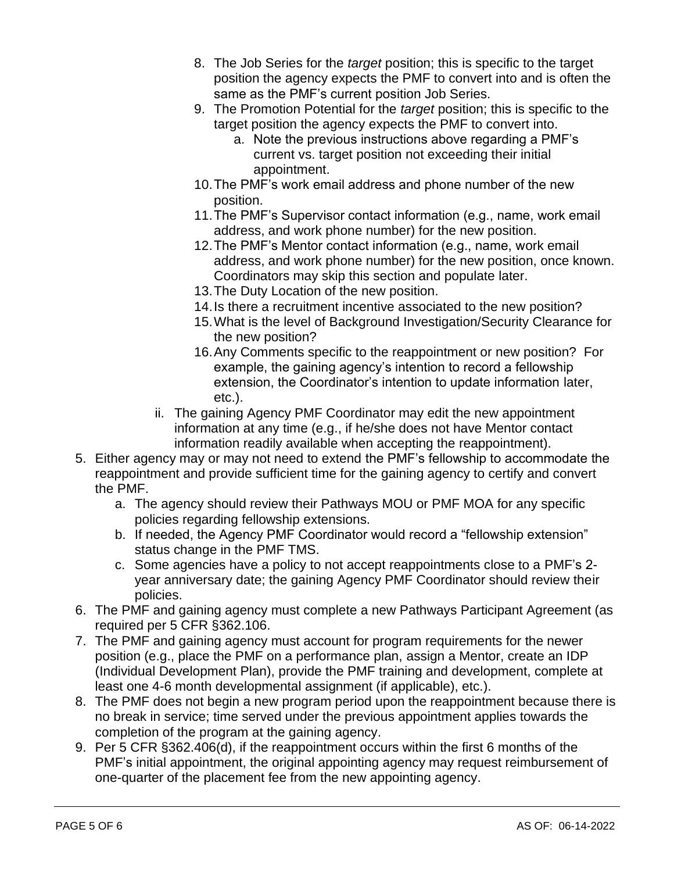- 8. The Job Series for the *target* position; this is specific to the target position the agency expects the PMF to convert into and is often the same as the PMF's current position Job Series.
- 9. The Promotion Potential for the *target* position; this is specific to the target position the agency expects the PMF to convert into.
	- a. Note the previous instructions above regarding a PMF's current vs. target position not exceeding their initial appointment.
- 10.The PMF's work email address and phone number of the new position.
- 11.The PMF's Supervisor contact information (e.g., name, work email address, and work phone number) for the new position.
- 12.The PMF's Mentor contact information (e.g., name, work email address, and work phone number) for the new position, once known. Coordinators may skip this section and populate later.
- 13.The Duty Location of the new position.
- 14.Is there a recruitment incentive associated to the new position?
- 15.What is the level of Background Investigation/Security Clearance for the new position?
- 16.Any Comments specific to the reappointment or new position? For example, the gaining agency's intention to record a fellowship extension, the Coordinator's intention to update information later, etc.).
- ii. The gaining Agency PMF Coordinator may edit the new appointment information at any time (e.g., if he/she does not have Mentor contact information readily available when accepting the reappointment).
- 5. Either agency may or may not need to extend the PMF's fellowship to accommodate the reappointment and provide sufficient time for the gaining agency to certify and convert the PMF.
	- a. The agency should review their Pathways MOU or PMF MOA for any specific policies regarding fellowship extensions.
	- b. If needed, the Agency PMF Coordinator would record a "fellowship extension" status change in the PMF TMS.
	- c. Some agencies have a policy to not accept reappointments close to a PMF's 2 year anniversary date; the gaining Agency PMF Coordinator should review their policies.
- 6. The PMF and gaining agency must complete a new Pathways Participant Agreement (as required per 5 CFR §362.106.
- 7. The PMF and gaining agency must account for program requirements for the newer position (e.g., place the PMF on a performance plan, assign a Mentor, create an IDP (Individual Development Plan), provide the PMF training and development, complete at least one 4-6 month developmental assignment (if applicable), etc.).
- 8. The PMF does not begin a new program period upon the reappointment because there is no break in service; time served under the previous appointment applies towards the completion of the program at the gaining agency.
- 9. Per 5 CFR §362.406(d), if the reappointment occurs within the first 6 months of the PMF's initial appointment, the original appointing agency may request reimbursement of one-quarter of the placement fee from the new appointing agency.